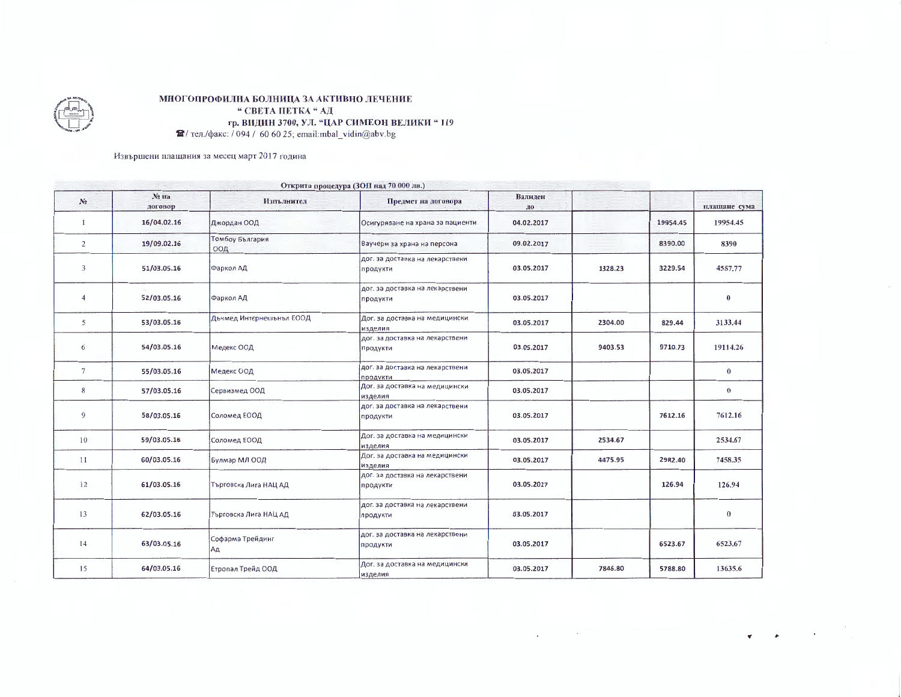

## МНОГОПРОФИЛНА БОЛНИЦА ЗА АКТИВНО ЛЕЧЕНИЕ " СВЕТА ПЕТКА "АД гр. ВИДИН 3700, УЛ. "ЦАР СИМЕОН ВЕЛИКИ "119  $\hat{H}$ / тел./факс: / 094 / 60 60 25; email:mbal\_vidin@abv.bg

Извършени плащания за месец март 2017 година

|                |                  |                          | Открита процедура (ЗОП над 70 000 лв.)      |               |         |          |              |
|----------------|------------------|--------------------------|---------------------------------------------|---------------|---------|----------|--------------|
| No.            | Nº Ha<br>договор | Изпълнител               | Предмет на договора                         | Валиден<br>до |         |          | плащане сума |
| 1              | 16/04.02.16      | Джордан ООД              | Осигуряване на храна за пациенти            | 04.02.2017    |         | 19954.45 | 19954.45     |
| $\overline{2}$ | 19/09.02.16      | Томбоу България<br>ООД   | Ваучери за храна на персона                 | 09.02.2017    |         | 8390.00  | 8390         |
| 3              | 51/03.05.16      | Фаркол АД                | дог. за доставка на лекарствени<br>продукти | 03.05.2017    | 1328.23 | 3229.54  | 4557.77      |
| $\overline{4}$ | 52/03.05.16      | Фаркол АД                | дог. за доставка на лекарствени<br>продукти | 03.05.2017    |         |          | $\bf{0}$     |
| 5              | 53/03.05.16      | Дъчмед Интернешънъл ЕООД | Дог. за доставка на медицински<br>изделия   | 03.05.2017    | 2304.00 | 829.44   | 3133.44      |
| 6              | 54/03.05.16      | Медекс ООД               | дог. за доставка на лекарствени<br>продукти | 03.05.2017    | 9403.53 | 9710.73  | 19114.26     |
| $\tau$         | 55/03.05.16      | Медекс ООД               | дог. за доставка на лекарствени<br>ПРОДУКТИ | 03.05.2017    |         |          | $\bf{0}$     |
| 8              | 57/03.05.16      | Сервизмед ООД            | Дог. за доставка на медицински<br>изделия   | 03.05.2017    |         |          | $\bf{0}$     |
| 9              | 58/03.05.16      | Соломед ЕООД             | дог. за доставка на лекарствени<br>продукти | 03.05.2017    |         | 7612.16  | 7612.16      |
| 10             | 59/03.05.16      | Соломед ЕООД             | Дог. за доставка на медицински<br>изделия   | 03.05.2017    | 2534.67 |          | 2534.67      |
| 11             | 60/03.05.16      | Булмар МЛ ООД            | Дог. за доставка на медицински<br>изделия   | 03.05.2017    | 4475.95 | 2982.40  | 7458.35      |
| 12             | 61/03.05.16      | Търговска Лига НАЦ АД    | дог. за доставка на лекарствени<br>продукти | 03.05.2017    |         | 126.94   | 126.94       |
| 13             | 62/03.05.16      | Търговска Лига НАЦ АД    | дог. за доставка на лекарствени<br>продукти | 03.05.2017    |         |          | $\bf{0}$     |
| 14             | 63/03.05.16      | Софарма Трейдинг<br>Aд   | дог. за доставка на лекарствени<br>продукти | 03.05.2017    |         | 6523.67  | 6523.67      |
| 15             | 64/03.05.16      | Етропал Трейд ООД        | Дог. за доставка на медицински<br>изделия   | 03.05.2017    | 7846.80 | 5788.80  | 13635.6      |

 $\mathcal{L}_{\mathcal{A}}$ 

 $\sim 10^{11}$  km s  $^{-1}$ 

 $\sim 100$  km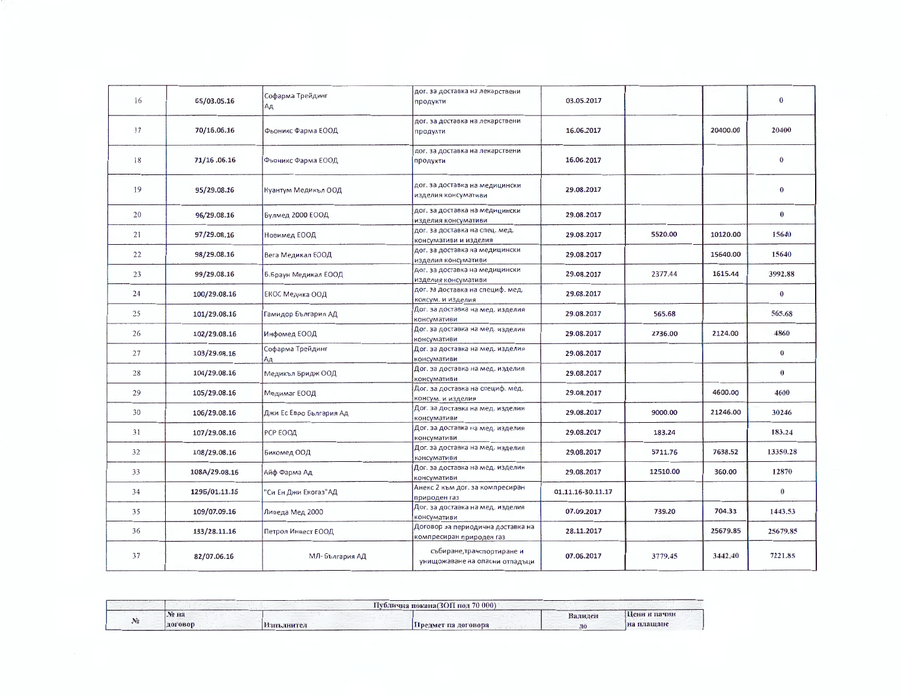| 16 | 65/03.05.16   | Софарма Трейдинг<br>Ад  | дог. за доставка на лекарствени<br>продукти                   | 03.05.2017        |          |          | $\bf{0}$ |
|----|---------------|-------------------------|---------------------------------------------------------------|-------------------|----------|----------|----------|
| 17 | 70/16.06.16   | Фьоникс Фарма ЕООД      | дог. за доставка на лекарствени<br>продукти                   | 16.06.2017        |          | 20400.00 | 20400    |
| 18 | 71/16.06.16   | Фьоникс Фарма ЕООД      | дог. за доставка на лекарствени<br>продукти                   | 16.06.2017        |          |          | $\bf{0}$ |
| 19 | 95/29.08.16   | Куантум Медикъл ООД     | дог. за доставка на медицински<br>изделия консумативи         | 29.08.2017        |          |          | $\bf{0}$ |
| 20 | 96/29.08.16   | Булмед 2000 ЕООД        | дог. за доставка на медицински<br>изделия консумативи         | 29.08.2017        |          |          | $\bf{0}$ |
| 21 | 97/29.08.16   | Новимед ЕООД            | дог. за доставка на спец. мед.<br>консумативи и изделия       | 29.08.2017        | 5520.00  | 10120.00 | 15640    |
| 22 | 98/29.08.16   | Вега Медикал ЕООД       | дог. за доставка на медицински<br>изделия консумативи         | 29.08.2017        |          | 15640.00 | 15640    |
| 23 | 99/29.08.16   | Б.Браун Медикал ЕООД    | дог. за доставка на медицински<br>изделия консумативи         | 29.08.2017        | 2377.44  | 1615.44  | 3992.88  |
| 24 | 100/29.08.16  | ЕКОС Медика ООД         | дог. за доставка на специф. мед.<br>консум. и изделия         | 29.08.2017        |          |          | $\bf{0}$ |
| 25 | 101/29.08.16  | Гамидор България АД     | Дог. за доставка на мед. изделия<br>консумативи               | 29.08.2017        | 565.68   |          | 565.68   |
| 26 | 102/29.08.16  | Инфомед ЕООД            | Дог. за доставка на мед. изделия<br>консумативи               | 29.08.2017        | 2736.00  | 2124.00  | 4860     |
| 27 | 103/29.08.16  | Софарма Трейдинг<br> Ад | Дог. за доставка на мед. изделия<br>консумативи               | 29.08.2017        |          |          | $\bf{0}$ |
| 28 | 104/29.08.16  | Медикъл Бридж ООД       | Дог. за доставка на мед. изделия<br>консумативи               | 29.08.2017        |          |          | $\bf{0}$ |
| 29 | 105/29.08.16  | Медимаг ЕООД            | Дог. за доставка на специф. мед.<br>консум. и изделия         | 29.08.2017        |          | 4600.00  | 4600     |
| 30 | 106/29.08.16  | Джи Ес Евро България Ад | Дог. за доставка на мед. изделия<br>консумативи               | 29.08.2017        | 9000.00  | 21246.00 | 30246    |
| 31 | 107/29.08.16  | РСР ЕООД                | Дог. за доставка на мед. изделия<br>консумативи               | 29.08.2017        | 183.24   |          | 183.24   |
| 32 | 108/29.08.16  | Бикомед ООД             | Дог. за доставка на мед. изделия<br>консумативи               | 29.08.2017        | 5711.76  | 7638.52  | 13350.28 |
| 33 | 108A/29.08.16 | Айф Фарма Ад            | Дог. за доставка на мед. изделия<br>консумативи               | 29.08.2017        | 12510.00 | 360.00   | 12870    |
| 34 | 1295/01.11.16 | 'Си Ен Джи Екогаз"АД    | Анекс 2 към дог. за компресиран<br>природен газ               | 01.11.16-30.11.17 |          |          | $\bf{0}$ |
| 35 | 109/07.09.16  | Ливеда Мед 2000         | Дог. за доставка на мед. изделия<br>консумативи               | 07.09.2017        | 739.20   | 704.33   | 1443.53  |
| 36 | 133/28.11.16  | Петрол Инвест ЕООД      | Договор за периодична доставка на<br>компресиран природен газ | 28.11.2017        |          | 25679.85 | 25679.85 |
| 37 | 82/07.06.16   | МЛ-България АД          | събиране, транспортиране и<br>унищожаване на опасни отпадъци  | 07.06.2017        | 3779.45  | 3442.40  | 7221.85  |

|                   |         |                    | 70:0001<br>Публична покана(ЗОП пол |         |              |
|-------------------|---------|--------------------|------------------------------------|---------|--------------|
| <b>CONTRACTOR</b> | Nº Ha   |                    |                                    | Валилен | Пени и пачин |
|                   | договор | <b>Азиълните</b> т | Предмет на договора                | до      | іна плашане  |